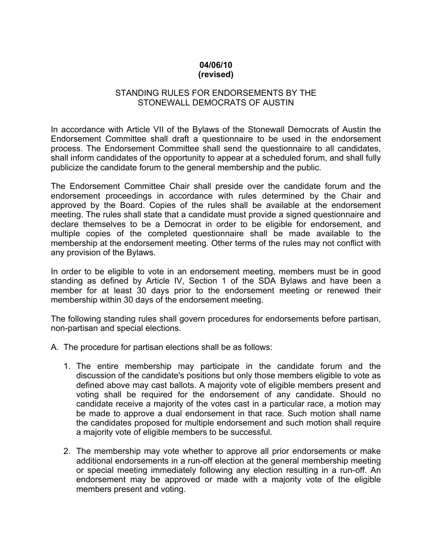## **04/06/10 (revised)**

## STANDING RULES FOR ENDORSEMENTS BY THE STONEWALL DEMOCRATS OF AUSTIN

In accordance with Article VII of the Bylaws of the Stonewall Democrats of Austin the Endorsement Committee shall draft a questionnaire to be used in the endorsement process. The Endorsement Committee shall send the questionnaire to all candidates, shall inform candidates of the opportunity to appear at a scheduled forum, and shall fully publicize the candidate forum to the general membership and the public.

The Endorsement Committee Chair shall preside over the candidate forum and the endorsement proceedings in accordance with rules determined by the Chair and approved by the Board. Copies of the rules shall be available at the endorsement meeting. The rules shall state that a candidate must provide a signed questionnaire and declare themselves to be a Democrat in order to be eligible for endorsement, and multiple copies of the completed questionnaire shall be made available to the membership at the endorsement meeting. Other terms of the rules may not conflict with any provision of the Bylaws.

In order to be eligible to vote in an endorsement meeting, members must be in good standing as defined by Article IV, Section 1 of the SDA Bylaws and have been a member for at least 30 days prior to the endorsement meeting or renewed their membership within 30 days of the endorsement meeting.

The following standing rules shall govern procedures for endorsements before partisan, non-partisan and special elections.

- A. The procedure for partisan elections shall be as follows:
	- 1. The entire membership may participate in the candidate forum and the discussion of the candidate's positions but only those members eligible to vote as defined above may cast ballots. A majority vote of eligible members present and voting shall be required for the endorsement of any candidate. Should no candidate receive a majority of the votes cast in a particular race, a motion may be made to approve a dual endorsement in that race. Such motion shall name the candidates proposed for multiple endorsement and such motion shall require a majority vote of eligible members to be successful.
	- 2. The membership may vote whether to approve all prior endorsements or make additional endorsements in a run-off election at the general membership meeting or special meeting immediately following any election resulting in a run-off. An endorsement may be approved or made with a majority vote of the eligible members present and voting.